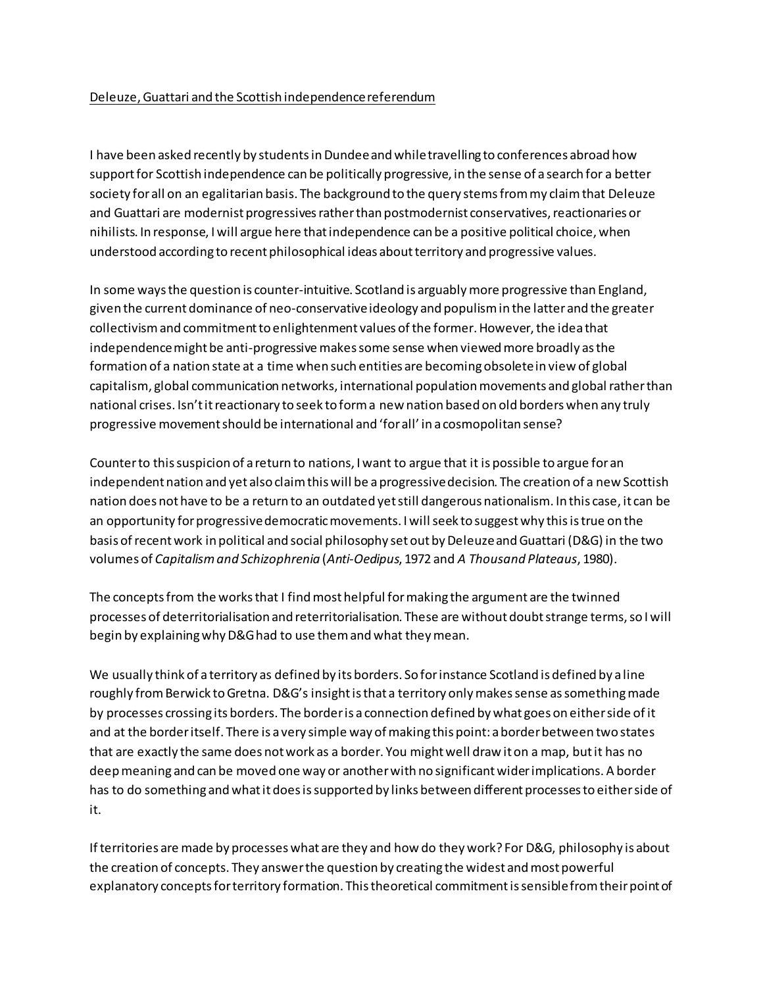## Deleuze, Guattari and the Scottish independence referendum

I have been asked recently by students in Dundee and while travelling to conferences abroad how support for Scottish independence can be politically progressive, in the sense of a search for a better society for all on an egalitarian basis. The background to the query stems from my claim that Deleuze and Guattari are modernist progressives rather than postmodernist conservatives, reactionaries or nihilists. In response, I will argue here thatindependence can be a positive political choice, when understood according to recent philosophical ideas about territory and progressive values.

In some ways the question is counter-intuitive. Scotland is arguablymore progressive than England, given the current dominance of neo-conservative ideology and populism in the latter and the greater collectivismand commitment to enlightenment values of the former. However, the idea that independence might be anti-progressive makes some sense when viewed more broadly as the formation of a nation state at a time when such entities are becoming obsolete in view of global capitalism, global communication networks, international population movements and global rather than national crises. Isn't it reactionary to seek to form a new nation based on old borders when any truly progressive movement should be international and 'for all' in a cosmopolitan sense?

Counter to this suspicion of a return to nations, I want to argue that it is possible to argue for an independent nation and yet also claim this will be a progressive decision. The creation of a new Scottish nation does not have to be a return to an outdated yet still dangerous nationalism. In this case, it can be an opportunity for progressive democratic movements. I will seek to suggest why this istrue on the basis of recent work in political and social philosophy set out by Deleuze and Guattari (D&G) in the two volumes of *Capitalism and Schizophrenia* (*Anti-Oedipus*, 1972 and *A Thousand Plateaus*, 1980).

The concepts from the works that I find most helpful for making the argument are the twinned processes of deterritorialisation and reterritorialisation. These are without doubt strange terms, so I will begin by explaining why D&G had to use them and what they mean.

We usually think of a territory as defined by its borders. So for instance Scotland is defined by a line roughly from Berwick to Gretna. D&G's insight is that a territory only makes sense as something made by processes crossing its borders. The border is a connection defined by what goes on either side of it and at the border itself. There is a very simple way of making this point: a border between two states that are exactly the same does not work as a border. You might well draw it on a map, but it has no deep meaning and can be moved one way or another with no significant wider implications. A border has to do something and what it does is supported by links between different processesto either side of it.

If territories are made by processes what are they and how do they work? For D&G, philosophy is about the creation of concepts. They answer the question by creating the widest and most powerful explanatory concepts for territory formation. This theoretical commitmentis sensible from their point of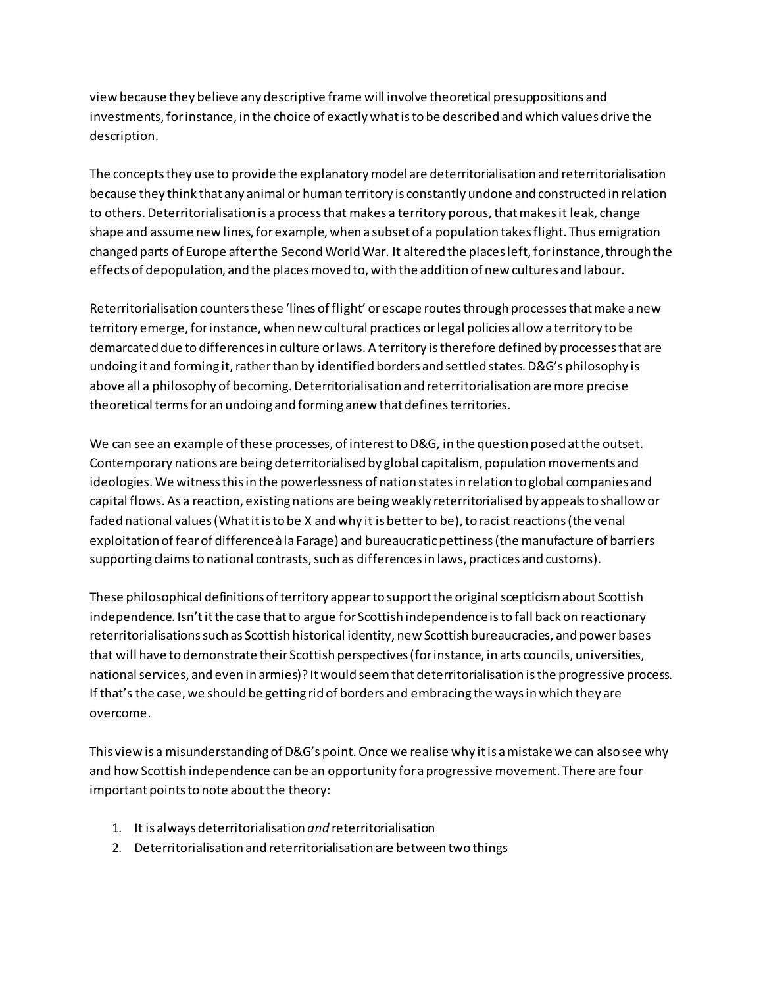view because they believe any descriptive frame will involve theoretical presuppositions and investments, for instance, in the choice of exactly what is to be described and which values drive the description.

The concepts they use to provide the explanatory model are deterritorialisation and reterritorialisation because they think that any animal or human territory is constantly undone and constructed in relation to others. Deterritorialisation is a process that makes a territory porous, that makes it leak, change shape and assume new lines, for example, when a subset of a population takes flight. Thus emigration changed parts of Europe after the Second World War. It altered the places left, for instance, through the effects of depopulation, and the places moved to, with the addition of new cultures and labour.

Reterritorialisation counters these 'lines of flight' or escape routes through processes that make a new territory emerge, for instance, when new cultural practices or legal policies allow a territory to be demarcated due to differences in culture or laws. A territory is therefore defined by processes that are undoing it and forming it, rather than by identified borders and settled states. D&G's philosophy is above all a philosophy of becoming. Deterritorialisation and reterritorialisation are more precise theoretical terms for an undoing and forming anew that defines territories.

We can see an example of these processes, of interest to D&G, in the question posed at the outset. Contemporary nations are being deterritorialised by global capitalism, population movements and ideologies. We witness this in the powerlessness of nation states in relation to global companies and capital flows. As a reaction, existing nations are being weakly reterritorialised by appeals to shallow or faded national values (What it is to be X and why it is better to be), to racist reactions (the venal exploitation of fear of difference à la Farage) and bureaucratic pettiness (the manufacture of barriers supporting claims to national contrasts, such as differences in laws, practices and customs).

These philosophical definitions of territory appear to support the original scepticism about Scottish independence. Isn't it the case that to argue for Scottish independence is to fall back on reactionary reterritorialisations such as Scottish historical identity, new Scottish bureaucracies, and power bases that will have to demonstrate their Scottish perspectives (for instance, in arts councils, universities, national services, and even in armies)? It would seemthat deterritorialisation is the progressive process. If that's the case, we should be getting rid of borders and embracing the ways in which they are overcome.

This view is a misunderstanding of D&G's point. Once we realise why it is a mistake we can also see why and how Scottish independence can be an opportunity for a progressive movement. There are four important points to note about the theory:

- 1. It is always deterritorialisation *and* reterritorialisation
- 2. Deterritorialisation and reterritorialisation are between two things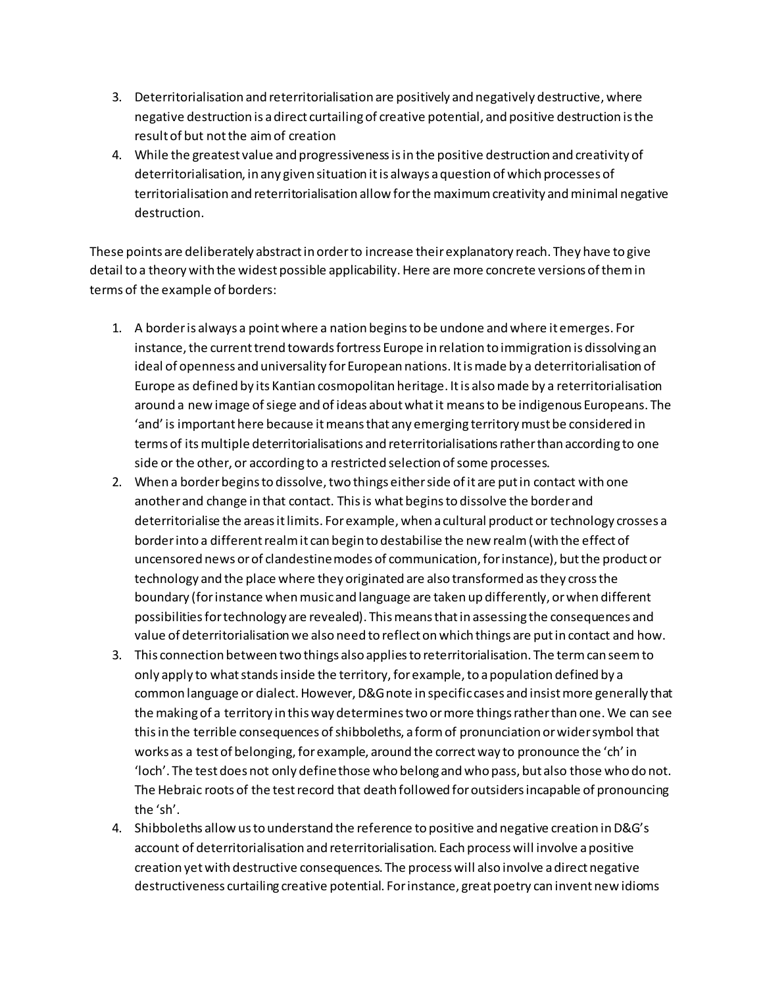- 3. Deterritorialisation and reterritorialisation are positively and negatively destructive, where negative destruction is a direct curtailing of creative potential, and positive destruction is the result of but not the aim of creation
- 4. While the greatest value and progressiveness is in the positive destruction and creativity of deterritorialisation, in any given situation it is always a question of which processes of territorialisation and reterritorialisation allow for the maximum creativity and minimal negative destruction.

These points are deliberately abstract in order to increase their explanatory reach. They have to give detail to a theory with the widest possible applicability. Here are more concrete versions of them in terms of the example of borders:

- 1. A border is always a point where a nation begins to be undone and where it emerges. For instance, the current trend towards fortress Europe in relation to immigration is dissolving an ideal of openness and universality for European nations. It is made by a deterritorialisation of Europe as defined by its Kantian cosmopolitan heritage. It is also made by a reterritorialisation around a new image of siege and of ideas about what it means to be indigenous Europeans. The 'and' is important here because it means that any emerging territory must be considered in terms of its multiple deterritorialisations and reterritorialisations rather than according to one side or the other, or according to a restricted selection of some processes.
- 2. When a border begins to dissolve, two things either side of it are put in contact with one another and change in that contact. This is what begins to dissolve the border and deterritorialise the areas it limits. For example, when a cultural product or technology crosses a border into a different realm it can begin to destabilise the new realm (with the effect of uncensored news or of clandestine modes of communication, for instance), but the product or technology and the place where they originated are also transformed as they cross the boundary (for instance when music and language are taken up differently, or when different possibilities fortechnology are revealed). This means that in assessing the consequences and value of deterritorialisation we also need to reflect on which things are put in contact and how.
- 3. This connection between two things also applies to reterritorialisation. The termcan seem to only apply to what stands inside the territory, for example, to a population defined by a common language or dialect. However, D&G note in specific cases and insist more generally that the making of a territory in this way determines two or more things rather than one. We can see thisin the terrible consequences of shibboleths, a form of pronunciation or wider symbol that works as a test of belonging, for example, around the correct way to pronounce the 'ch' in 'loch'. The test does not only define those who belong and who pass, but also those who do not. The Hebraic roots of the test record that death followed for outsiders incapable of pronouncing the 'sh'.
- 4. Shibboleths allow us to understand the reference to positive and negative creation in D&G's account of deterritorialisation and reterritorialisation. Each process will involve a positive creation yet with destructive consequences. The process will also involve a direct negative destructiveness curtailing creative potential. For instance, great poetry can invent new idioms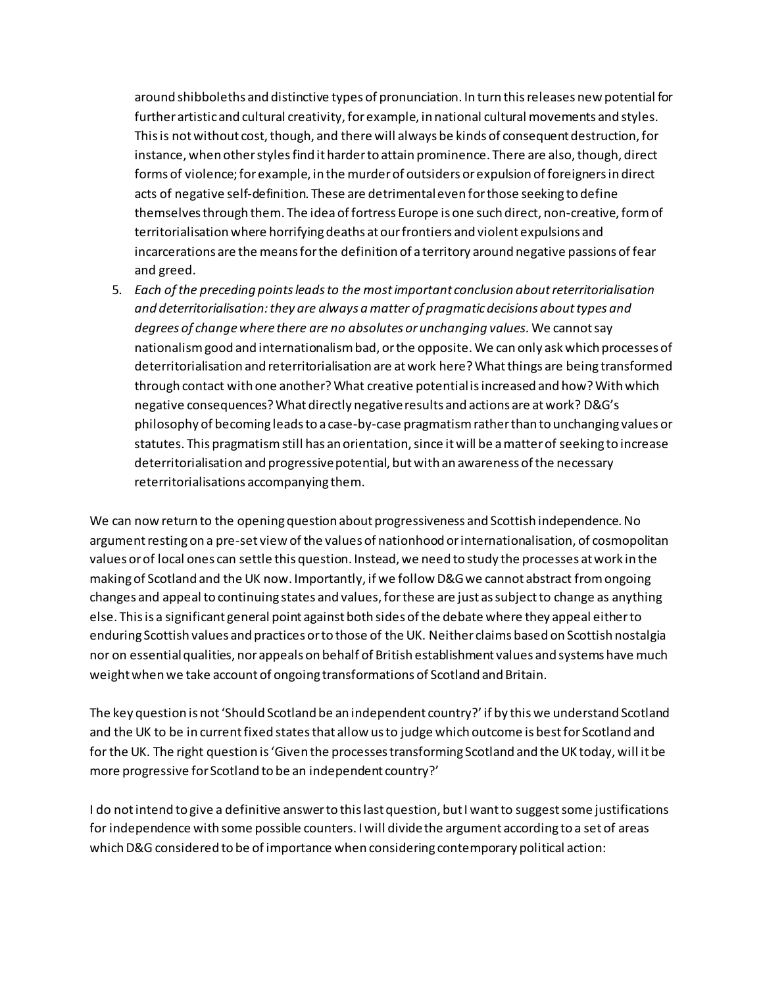around shibboleths and distinctive types of pronunciation. In turn this releases new potential for further artistic and cultural creativity, for example, in national cultural movements and styles. This is not without cost, though, and there will always be kinds of consequent destruction, for instance, when other styles find it harder to attain prominence. There are also, though, direct forms of violence;for example, in the murder of outsiders or expulsion of foreigners in direct acts of negative self-definition. These are detrimentaleven for those seeking to define themselves through them. The idea of fortress Europe is one such direct, non-creative, form of territorialisation where horrifying deaths at our frontiers and violent expulsions and incarcerations are the means for the definition of a territory around negative passions of fear and greed.

5. *Each of the preceding points leads to the most important conclusion about reterritorialisation and deterritorialisation: they are always a matter of pragmaticdecisions about types and degrees of change where there are no absolutes or unchanging values.* We cannot say nationalism good and internationalism bad, or the opposite. We can only ask which processes of deterritorialisation and reterritorialisation are at work here? What things are being transformed through contact with one another? What creative potential isincreased and how? With which negative consequences? What directly negative results and actions are at work? D&G's philosophy of becoming leads to a case-by-case pragmatism rather than to unchanging values or statutes. This pragmatism still has an orientation, since it will be a matter of seeking to increase deterritorialisation and progressive potential, but with an awareness of the necessary reterritorialisations accompanying them.

We can now return to the opening question about progressiveness and Scottish independence. No argument resting on a pre-set view of the values of nationhood or internationalisation, of cosmopolitan values or of local ones can settle this question. Instead, we need to study the processes at work in the making of Scotland and the UK now. Importantly, if we follow D&Gwe cannot abstract from ongoing changes and appeal to continuing states and values, for these are just as subject to change as anything else. This is a significant general point against both sides of the debate where they appeal either to enduring Scottish values and practices or to those of the UK. Neither claims based on Scottish nostalgia nor on essential qualities, nor appeals on behalf of British establishment values and systems have much weight when we take account of ongoing transformations of Scotland and Britain.

The key question is not 'Should Scotland be an independent country?' if by this we understand Scotland and the UK to be in current fixed states that allow us to judge which outcome is best for Scotland and for the UK. The right question is 'Given the processes transforming Scotland and the UK today, will it be more progressive for Scotland to be an independent country?'

I do not intend to give a definitive answer to this last question, but I want to suggest some justifications for independence with some possible counters. I will divide the argument according to a set of areas which D&G considered to be of importance when considering contemporary political action: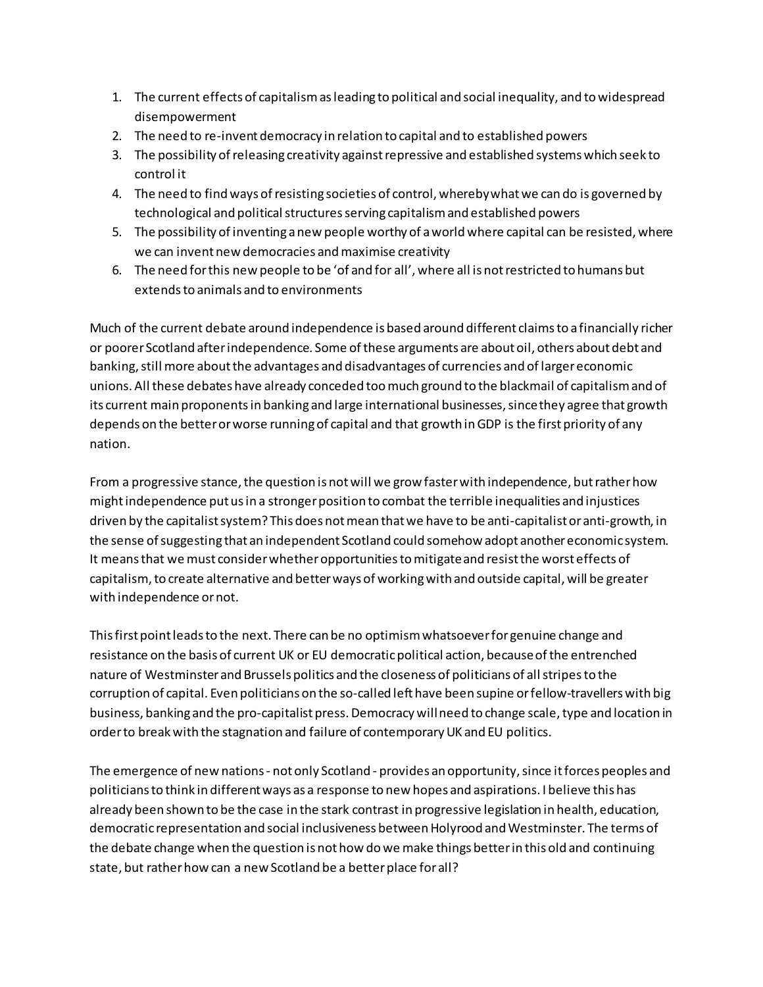- 1. The current effects of capitalismas leading to political and social inequality, and to widespread disempowerment
- 2. The need to re-invent democracy in relation to capital and to established powers
- 3. The possibility of releasing creativity against repressive and established systems which seek to control it
- 4. The need to find ways of resisting societies of control, wherebywhat we can do is governed by technological and political structures serving capitalism and established powers
- 5. The possibility of inventing a new people worthy of a world where capital can be resisted, where we can invent new democracies and maximise creativity
- 6. The need for this new people to be 'of and for all', where all is not restricted to humans but extends to animals and to environments

Much of the current debate around independence is based around different claims to a financially richer or poorer Scotland after independence. Some of these arguments are about oil, others about debt and banking, still more about the advantages and disadvantages of currencies and of larger economic unions. All these debates have already conceded too much ground to the blackmail of capitalism and of its current main proponents in banking and large international businesses, since they agree that growth depends on the better or worse running of capital and that growth in GDP is the first priority of any nation.

From a progressive stance, the question is not will we grow faster with independence, but rather how might independence put us in a stronger position to combat the terrible inequalities and injustices driven by the capitalist system? This does not mean that we have to be anti-capitalist or anti-growth, in the sense of suggesting that an independent Scotland could somehow adopt another economic system. It means that we must consider whether opportunities to mitigate and resist the worst effects of capitalism, to create alternative and better ways of working with and outside capital, will be greater with independence or not.

This first point leads to the next. There can be no optimism whatsoever for genuine change and resistance on the basis of current UK or EU democratic political action, because of the entrenched nature of Westminster and Brussels politics and the closeness of politicians of all stripes to the corruption of capital. Even politicians on the so-called left have been supine or fellow-travellers with big business, banking and the pro-capitalist press. Democracy will need to change scale, type and location in order to break with the stagnation and failure of contemporary UK and EU politics.

The emergence of new nations - not only Scotland - provides an opportunity, since it forces peoples and politicians to think in different ways as a response to new hopes and aspirations. I believe this has already been shown to be the case in the stark contrast in progressive legislation in health, education, democratic representation and social inclusiveness between Holyrood and Westminster. The terms of the debate change when the question is not how do we make things better in this old and continuing state, but rather how can a new Scotland be a better place for all?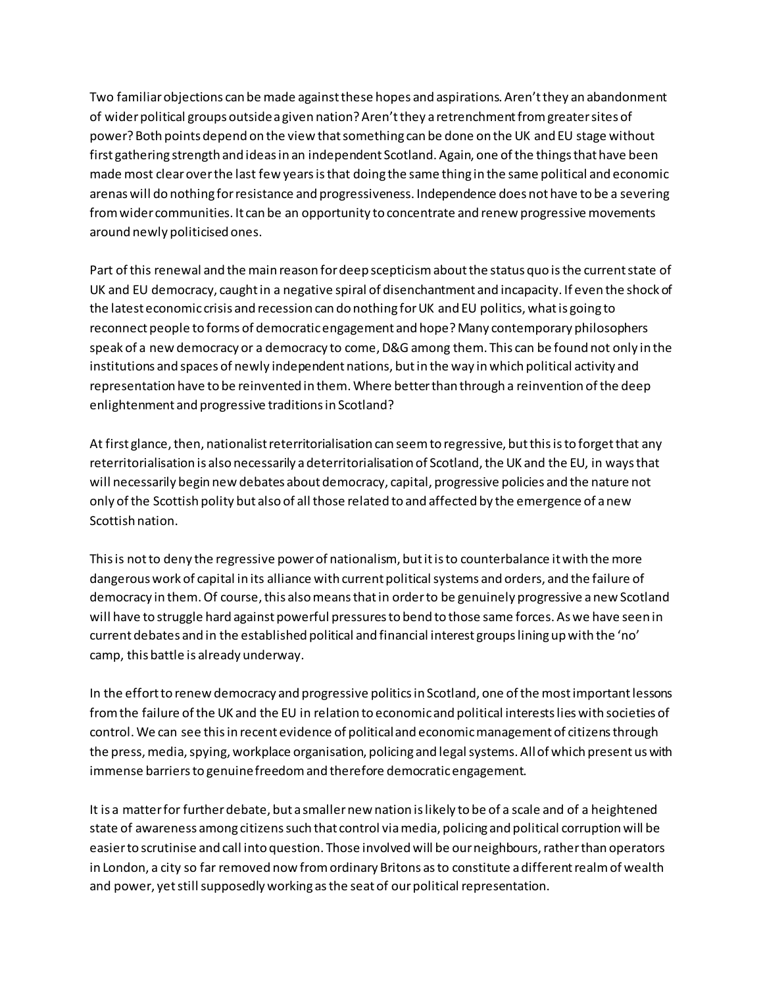Two familiar objections can be made against these hopes and aspirations. Aren't they an abandonment of wider political groups outside a given nation? Aren't they a retrenchment from greater sites of power? Both points depend on the view that something can be done on the UK and EU stage without first gathering strength and ideas in an independent Scotland. Again, one of the things that have been made most clearover the last few years is that doing the same thing in the same political and economic arenas will do nothing for resistance and progressiveness. Independence does not have to be a severing from wider communities. It can be an opportunity to concentrate and renew progressive movements around newly politicised ones.

Part of this renewal and the main reason for deep scepticism about the status quo isthe current state of UK and EU democracy, caught in a negative spiral of disenchantment and incapacity. If even the shock of the latest economic crisis and recession can do nothing for UK and EU politics, what is going to reconnect people to forms of democratic engagement and hope? Many contemporary philosophers speak of a new democracy or a democracy to come, D&G among them. This can be found not only in the institutions and spaces of newly independent nations, but in the way in which political activity and representation have to be reinvented in them. Where better than through a reinvention of the deep enlightenment and progressive traditions in Scotland?

At first glance, then, nationalist reterritorialisation can seem to regressive, but this is to forget that any reterritorialisation is also necessarily a deterritorialisation of Scotland, the UK and the EU, in ways that will necessarily begin new debates about democracy, capital, progressive policies and the nature not only of the Scottish polity but also of all those related to and affected by the emergence of a new Scottish nation.

This is notto deny the regressive power of nationalism, but it is to counterbalance it with the more dangerous work of capital in its alliance with current political systems and orders, and the failure of democracy in them. Of course, this also means that in order to be genuinely progressive a new Scotland will have to struggle hard against powerful pressures to bend to those same forces. As we have seen in current debates and in the established political and financial interest groups lining up with the 'no' camp, this battle is already underway.

In the effort to renew democracy and progressive politics in Scotland, one of the most important lessons from the failure of the UK and the EU in relation to economic and political interests lies with societies of control. We can see this in recent evidence of political and economic management of citizens through the press, media, spying, workplace organisation, policing and legal systems. Allof which present us with immense barriers to genuine freedom and therefore democratic engagement.

It is a matter for further debate, but a smaller new nation is likely to be of a scale and of a heightened state of awareness among citizens such that control via media, policing and political corruption will be easier to scrutinise and call into question. Those involved will be our neighbours, rather than operators in London, a city so far removed now from ordinary Britons as to constitute a different realm of wealth and power, yet still supposedly working as the seat of our political representation.